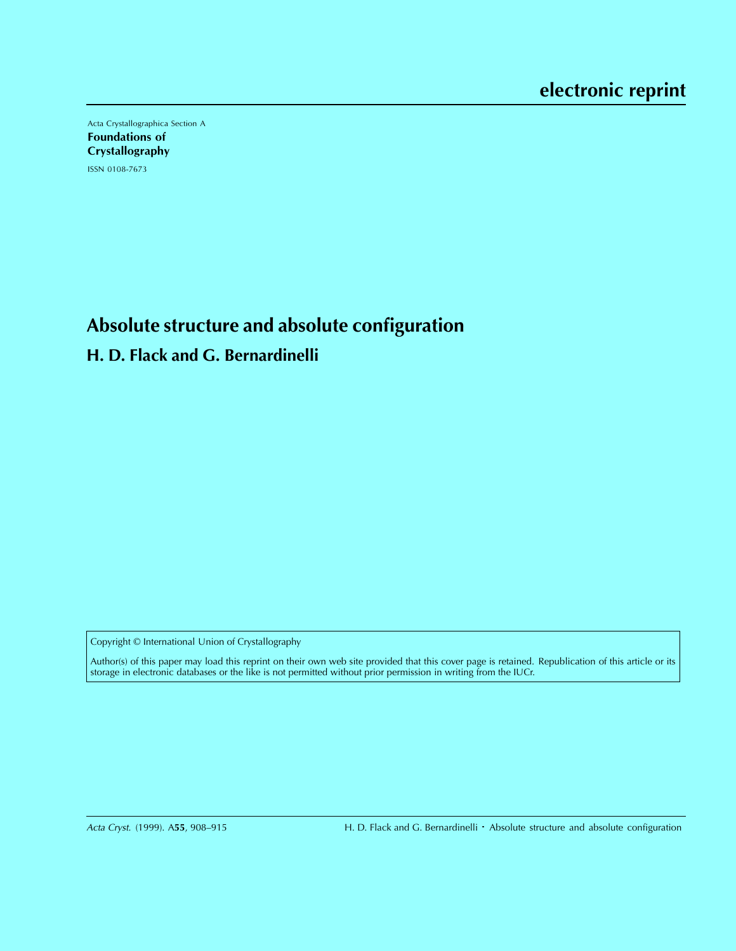Acta Crystallographica Section A Foundations of **Crystallography** ISSN 0108-7673

**Absolute structure and absolute configuration**

**H. D. Flack and G. Bernardinelli**

Copyright © International Union of Crystallography

Author(s) of this paper may load this reprint on their own web site provided that this cover page is retained. Republication of this article or its storage in electronic databases or the like is not permitted without prior permission in writing from the IUCr.

Acta Cryst. (1999). A**55**, 908–915 H. D. Flack and G. Bernardinelli Absolute structure and absolute configuration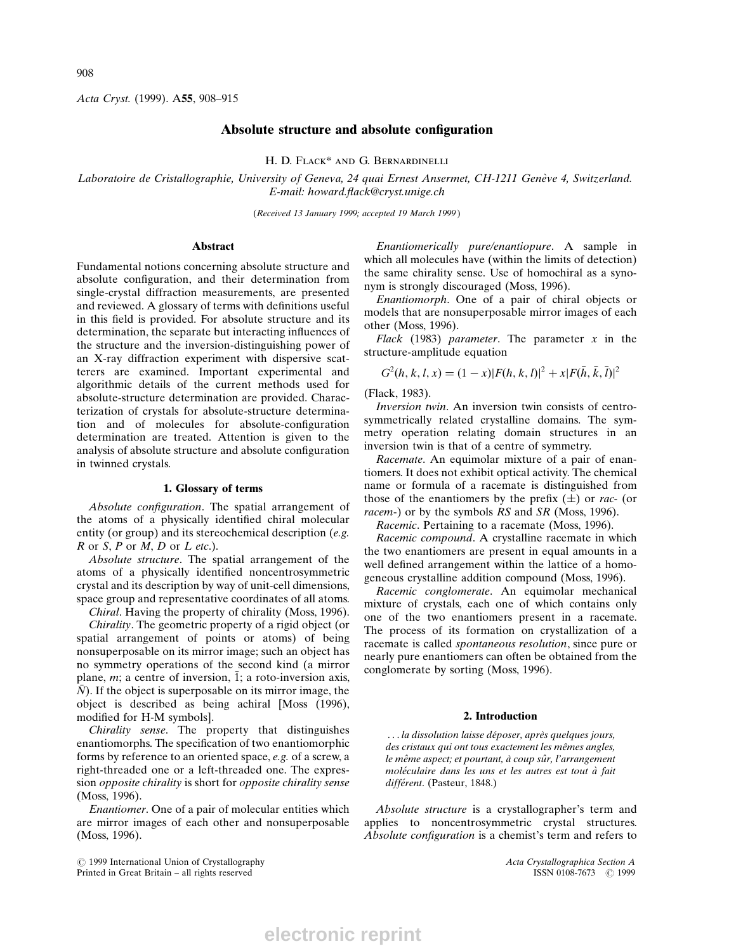Acta Cryst. (1999). A55, 908-915

## Absolute structure and absolute configuration

H. D. FLACK<sup>\*</sup> AND G. BERNARDINELLI

Laboratoire de Cristallographie, University of Geneva, 24 quai Ernest Ansermet, CH-1211 Genève 4, Switzerland. E-mail: howard.flack@cryst.unige.ch

(Received 13 January 1999; accepted 19 March 1999 )

#### Abstract

Fundamental notions concerning absolute structure and absolute configuration, and their determination from single-crystal diffraction measurements, are presented and reviewed. A glossary of terms with definitions useful in this field is provided. For absolute structure and its determination, the separate but interacting influences of the structure and the inversion-distinguishing power of an X-ray diffraction experiment with dispersive scatterers are examined. Important experimental and algorithmic details of the current methods used for absolute-structure determination are provided. Characterization of crystals for absolute-structure determination and of molecules for absolute-configuration determination are treated. Attention is given to the analysis of absolute structure and absolute configuration in twinned crystals.

#### 1. Glossary of terms

Absolute configuration. The spatial arrangement of the atoms of a physically identified chiral molecular entity (or group) and its stereochemical description (e.g.  $R$  or  $S$ ,  $P$  or  $M$ ,  $D$  or  $L$  etc.).

Absolute structure. The spatial arrangement of the atoms of a physically identified noncentrosymmetric crystal and its description by way of unit-cell dimensions, space group and representative coordinates of all atoms.

Chiral. Having the property of chirality (Moss, 1996). Chirality. The geometric property of a rigid object (or spatial arrangement of points or atoms) of being nonsuperposable on its mirror image; such an object has no symmetry operations of the second kind (a mirror plane, m; a centre of inversion,  $\overline{1}$ ; a roto-inversion axis,  $\overline{N}$ ). If the object is superposable on its mirror image, the object is described as being achiral [Moss (1996), modified for H-M symbols].

Chirality sense. The property that distinguishes enantiomorphs. The specification of two enantiomorphic forms by reference to an oriented space, e.g. of a screw, a right-threaded one or a left-threaded one. The expression opposite chirality is short for opposite chirality sense (Moss, 1996).

Enantiomer. One of a pair of molecular entities which are mirror images of each other and nonsuperposable (Moss, 1996).

 $\bigcirc$  1999 International Union of Crystallography and the Crystallographica Section A ( $\bigcirc$  1999 International Union of Crystallographica Section A ( $\bigcirc$  1999 ISSN 0108-7673 ( $\bigcirc$  1999 Printed in Great Britain - all rights reserved

Enantiomerically pure/enantiopure. A sample in which all molecules have (within the limits of detection) the same chirality sense. Use of homochiral as a synonym is strongly discouraged (Moss, 1996).

Enantiomorph. One of a pair of chiral objects or models that are nonsuperposable mirror images of each other (Moss, 1996).

Flack (1983) parameter. The parameter  $x$  in the structure-amplitude equation

$$
G^{2}(h, k, l, x) = (1 - x)|F(h, k, l)|^{2} + x|F(\bar{h}, \bar{k}, l)|^{2}
$$

(Flack, 1983).

Inversion twin. An inversion twin consists of centrosymmetrically related crystalline domains. The symmetry operation relating domain structures in an inversion twin is that of a centre of symmetry.

Racemate. An equimolar mixture of a pair of enantiomers. It does not exhibit optical activity. The chemical name or formula of a racemate is distinguished from those of the enantiomers by the prefix  $(\pm)$  or rac- (or racem-) or by the symbols RS and SR (Moss, 1996).

Racemic. Pertaining to a racemate (Moss, 1996).

Racemic compound. A crystalline racemate in which the two enantiomers are present in equal amounts in a well defined arrangement within the lattice of a homogeneous crystalline addition compound (Moss, 1996).

Racemic conglomerate. An equimolar mechanical mixture of crystals, each one of which contains only one of the two enantiomers present in a racemate. The process of its formation on crystallization of a racemate is called spontaneous resolution, since pure or nearly pure enantiomers can often be obtained from the conglomerate by sorting (Moss, 1996).

#### 2. Introduction

... la dissolution laisse déposer, après quelques jours, des cristaux qui ont tous exactement les mêmes angles, le même aspect; et pourtant, à coup sûr, l'arrangement moléculaire dans les uns et les autres est tout à fait différent. (Pasteur, 1848.)

Absolute structure is a crystallographer's term and applies to noncentrosymmetric crystal structures. Absolute configuration is a chemist's term and refers to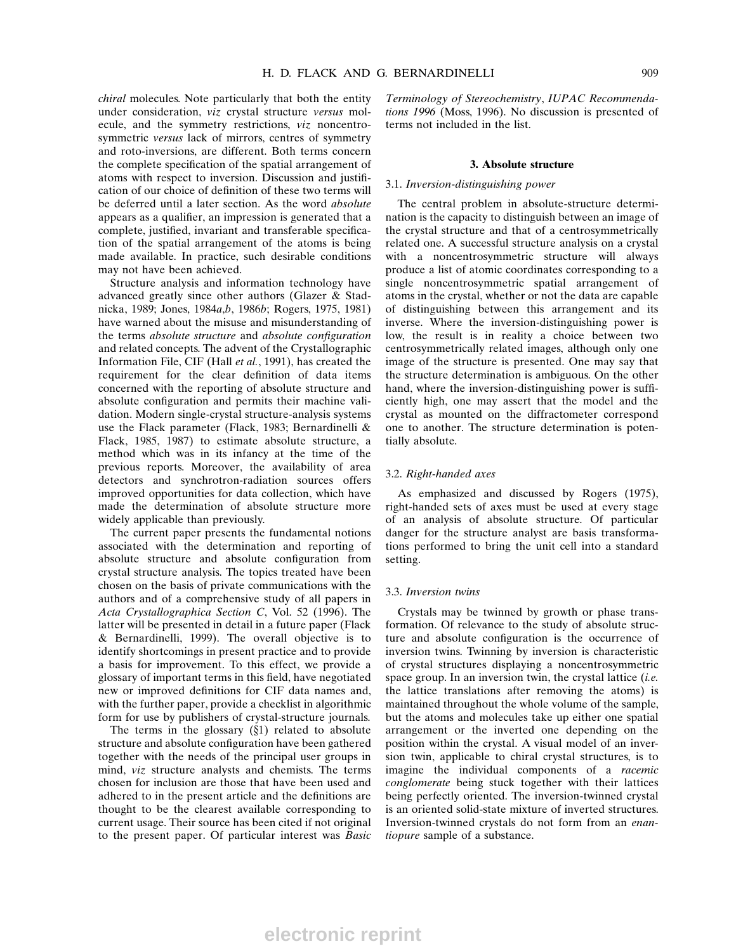chiral molecules. Note particularly that both the entity under consideration, viz crystal structure versus molecule, and the symmetry restrictions, viz noncentrosymmetric versus lack of mirrors, centres of symmetry and roto-inversions, are different. Both terms concern the complete specification of the spatial arrangement of atoms with respect to inversion. Discussion and justification of our choice of definition of these two terms will be deferred until a later section. As the word absolute appears as a qualifier, an impression is generated that a complete, justified, invariant and transferable specification of the spatial arrangement of the atoms is being made available. In practice, such desirable conditions may not have been achieved.

Structure analysis and information technology have advanced greatly since other authors (Glazer & Stadnicka, 1989; Jones, 1984a,b, 1986b; Rogers, 1975, 1981) have warned about the misuse and misunderstanding of the terms absolute structure and absolute configuration and related concepts. The advent of the Crystallographic Information File, CIF (Hall et al., 1991), has created the requirement for the clear definition of data items concerned with the reporting of absolute structure and absolute configuration and permits their machine validation. Modern single-crystal structure-analysis systems use the Flack parameter (Flack, 1983; Bernardinelli & Flack, 1985, 1987) to estimate absolute structure, a method which was in its infancy at the time of the previous reports. Moreover, the availability of area detectors and synchrotron-radiation sources offers improved opportunities for data collection, which have made the determination of absolute structure more widely applicable than previously.

The current paper presents the fundamental notions associated with the determination and reporting of absolute structure and absolute configuration from crystal structure analysis. The topics treated have been chosen on the basis of private communications with the authors and of a comprehensive study of all papers in Acta Crystallographica Section C, Vol. 52 (1996). The latter will be presented in detail in a future paper (Flack & Bernardinelli, 1999). The overall objective is to identify shortcomings in present practice and to provide a basis for improvement. To this effect, we provide a glossary of important terms in this field, have negotiated new or improved definitions for CIF data names and, with the further paper, provide a checklist in algorithmic form for use by publishers of crystal-structure journals.

The terms in the glossary  $(\S1)$  related to absolute structure and absolute configuration have been gathered together with the needs of the principal user groups in mind, viz structure analysts and chemists. The terms chosen for inclusion are those that have been used and adhered to in the present article and the definitions are thought to be the clearest available corresponding to current usage. Their source has been cited if not original to the present paper. Of particular interest was Basic

Terminology of Stereochemistry, IUPAC Recommendations 1996 (Moss, 1996). No discussion is presented of terms not included in the list.

#### 3. Absolute structure

## 3.1. Inversion-distinguishing power

The central problem in absolute-structure determination is the capacity to distinguish between an image of the crystal structure and that of a centrosymmetrically related one. A successful structure analysis on a crystal with a noncentrosymmetric structure will always produce a list of atomic coordinates corresponding to a single noncentrosymmetric spatial arrangement of atoms in the crystal, whether or not the data are capable of distinguishing between this arrangement and its inverse. Where the inversion-distinguishing power is low, the result is in reality a choice between two centrosymmetrically related images, although only one image of the structure is presented. One may say that the structure determination is ambiguous. On the other hand, where the inversion-distinguishing power is sufficiently high, one may assert that the model and the crystal as mounted on the diffractometer correspond one to another. The structure determination is potentially absolute.

## 3.2. Right-handed axes

As emphasized and discussed by Rogers (1975), right-handed sets of axes must be used at every stage of an analysis of absolute structure. Of particular danger for the structure analyst are basis transformations performed to bring the unit cell into a standard setting.

#### 3.3. Inversion twins

Crystals may be twinned by growth or phase transformation. Of relevance to the study of absolute structure and absolute configuration is the occurrence of inversion twins. Twinning by inversion is characteristic of crystal structures displaying a noncentrosymmetric space group. In an inversion twin, the crystal lattice  $(i.e.$ the lattice translations after removing the atoms) is maintained throughout the whole volume of the sample, but the atoms and molecules take up either one spatial arrangement or the inverted one depending on the position within the crystal. A visual model of an inversion twin, applicable to chiral crystal structures, is to imagine the individual components of a racemic conglomerate being stuck together with their lattices being perfectly oriented. The inversion-twinned crystal is an oriented solid-state mixture of inverted structures. Inversion-twinned crystals do not form from an enantiopure sample of a substance.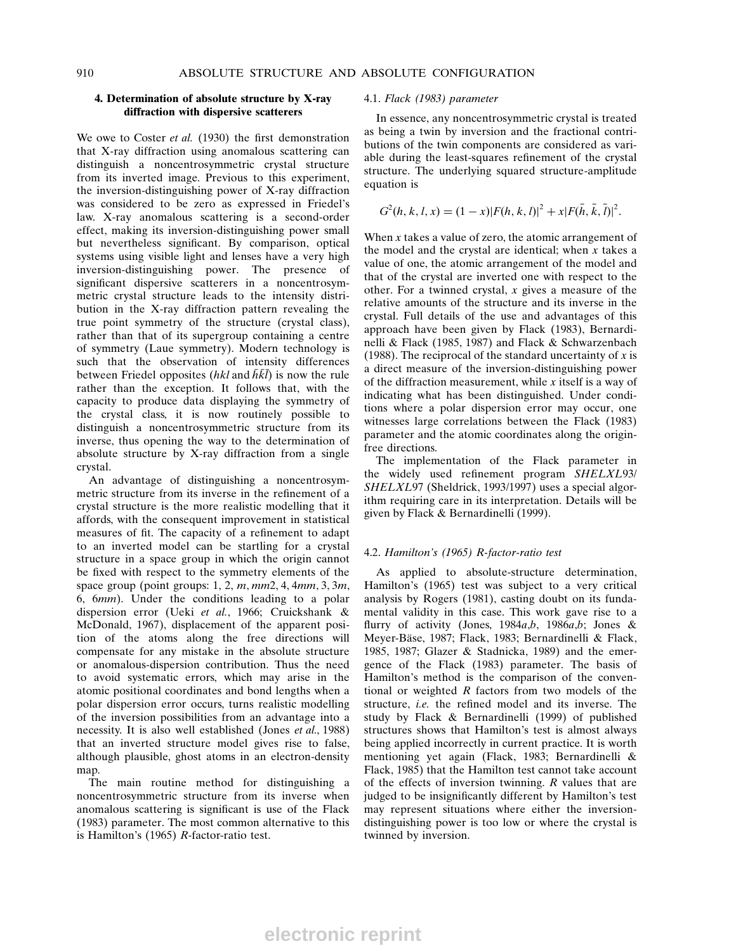## 4. Determination of absolute structure by X-ray diffraction with dispersive scatterers

We owe to Coster et al.  $(1930)$  the first demonstration that X-ray diffraction using anomalous scattering can distinguish a noncentrosymmetric crystal structure from its inverted image. Previous to this experiment, the inversion-distinguishing power of X-ray diffraction was considered to be zero as expressed in Friedel's law. X-ray anomalous scattering is a second-order effect, making its inversion-distinguishing power small but nevertheless significant. By comparison, optical systems using visible light and lenses have a very high inversion-distinguishing power. The presence of significant dispersive scatterers in a noncentrosymmetric crystal structure leads to the intensity distribution in the X-ray diffraction pattern revealing the true point symmetry of the structure (crystal class), rather than that of its supergroup containing a centre of symmetry (Laue symmetry). Modern technology is such that the observation of intensity differences between Friedel opposites (hkl and  $\bar{h}\bar{k}\bar{l}$ ) is now the rule rather than the exception. It follows that, with the capacity to produce data displaying the symmetry of the crystal class, it is now routinely possible to distinguish a noncentrosymmetric structure from its inverse, thus opening the way to the determination of absolute structure by X-ray diffraction from a single crystal.

An advantage of distinguishing a noncentrosymmetric structure from its inverse in the refinement of a crystal structure is the more realistic modelling that it affords, with the consequent improvement in statistical measures of fit. The capacity of a refinement to adapt to an inverted model can be startling for a crystal structure in a space group in which the origin cannot be fixed with respect to the symmetry elements of the space group (point groups: 1, 2,  $m, mm2, 4, 4mm, 3, 3m$ , 6, 6mm). Under the conditions leading to a polar dispersion error (Ueki et al., 1966; Cruickshank & McDonald, 1967), displacement of the apparent position of the atoms along the free directions will compensate for any mistake in the absolute structure or anomalous-dispersion contribution. Thus the need to avoid systematic errors, which may arise in the atomic positional coordinates and bond lengths when a polar dispersion error occurs, turns realistic modelling of the inversion possibilities from an advantage into a necessity. It is also well established (Jones et al., 1988) that an inverted structure model gives rise to false, although plausible, ghost atoms in an electron-density map.

The main routine method for distinguishing a noncentrosymmetric structure from its inverse when anomalous scattering is significant is use of the Flack (1983) parameter. The most common alternative to this is Hamilton's (1965) R-factor-ratio test.

#### 4.1. Flack (1983) parameter

In essence, any noncentrosymmetric crystal is treated as being a twin by inversion and the fractional contributions of the twin components are considered as variable during the least-squares refinement of the crystal structure. The underlying squared structure-amplitude equation is

$$
G^{2}(h, k, l, x) = (1 - x)|F(h, k, l)|^{2} + x|F(\bar{h}, \bar{k}, l)|^{2}.
$$

When  $x$  takes a value of zero, the atomic arrangement of the model and the crystal are identical; when  $x$  takes a value of one, the atomic arrangement of the model and that of the crystal are inverted one with respect to the other. For a twinned crystal,  $x$  gives a measure of the relative amounts of the structure and its inverse in the crystal. Full details of the use and advantages of this approach have been given by Flack (1983), Bernardinelli & Flack (1985, 1987) and Flack & Schwarzenbach (1988). The reciprocal of the standard uncertainty of  $x$  is a direct measure of the inversion-distinguishing power of the diffraction measurement, while  $x$  itself is a way of indicating what has been distinguished. Under conditions where a polar dispersion error may occur, one witnesses large correlations between the Flack (1983) parameter and the atomic coordinates along the originfree directions.

The implementation of the Flack parameter in the widely used refinement program SHELXL93/ SHELXL97 (Sheldrick, 1993/1997) uses a special algorithm requiring care in its interpretation. Details will be given by Flack & Bernardinelli (1999).

## 4.2. Hamilton's (1965) R-factor-ratio test

As applied to absolute-structure determination, Hamilton's (1965) test was subject to a very critical analysis by Rogers (1981), casting doubt on its fundamental validity in this case. This work gave rise to a flurry of activity (Jones, 1984a,b, 1986a,b; Jones & Meyer-Bäse, 1987; Flack, 1983; Bernardinelli & Flack, 1985, 1987; Glazer & Stadnicka, 1989) and the emergence of the Flack (1983) parameter. The basis of Hamilton's method is the comparison of the conventional or weighted  $R$  factors from two models of the structure, *i.e.* the refined model and its inverse. The study by Flack & Bernardinelli (1999) of published structures shows that Hamilton's test is almost always being applied incorrectly in current practice. It is worth mentioning yet again (Flack, 1983; Bernardinelli & Flack, 1985) that the Hamilton test cannot take account of the effects of inversion twinning. R values that are judged to be insignificantly different by Hamilton's test may represent situations where either the inversiondistinguishing power is too low or where the crystal is twinned by inversion.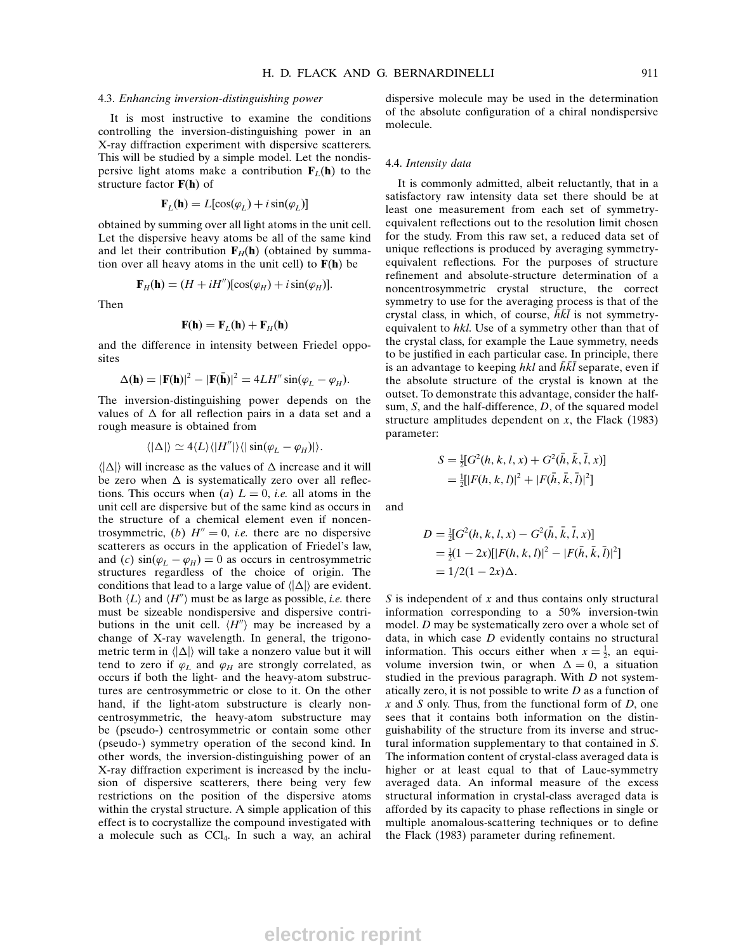## 4.3. Enhancing inversion-distinguishing power

It is most instructive to examine the conditions controlling the inversion-distinguishing power in an X-ray diffraction experiment with dispersive scatterers. This will be studied by a simple model. Let the nondispersive light atoms make a contribution  $\mathbf{F}_L(\mathbf{h})$  to the structure factor  $F(h)$  of

$$
\mathbf{F}_L(\mathbf{h}) = L[\cos(\varphi_L) + i\sin(\varphi_L)]
$$

obtained by summing over all light atoms in the unit cell. Let the dispersive heavy atoms be all of the same kind and let their contribution  $\mathbf{F}_H(\mathbf{h})$  (obtained by summation over all heavy atoms in the unit cell) to  $F(h)$  be

$$
\mathbf{F}_H(\mathbf{h}) = (H + iH'')[\cos(\varphi_H) + i\sin(\varphi_H)].
$$

Then

$$
\mathbf{F}(\mathbf{h}) = \mathbf{F}_L(\mathbf{h}) + \mathbf{F}_H(\mathbf{h})
$$

and the difference in intensity between Friedel opposites

$$
\Delta(\mathbf{h}) = |\mathbf{F}(\mathbf{h})|^2 - |\mathbf{F}(\bar{\mathbf{h}})|^2 = 4LH'' \sin(\varphi_L - \varphi_H).
$$

The inversion-distinguishing power depends on the values of  $\Delta$  for all reflection pairs in a data set and a rough measure is obtained from

$$
\langle |\Delta| \rangle \simeq 4 \langle L \rangle \langle |H''| \rangle \langle |\sin(\varphi_L - \varphi_H)| \rangle.
$$

 $\langle |\Delta| \rangle$  will increase as the values of  $\Delta$  increase and it will be zero when  $\Delta$  is systematically zero over all reflections. This occurs when (a)  $L = 0$ , *i.e.* all atoms in the unit cell are dispersive but of the same kind as occurs in the structure of a chemical element even if noncentrosymmetric, (b)  $H'' = 0$ , *i.e.* there are no dispersive scatterers as occurs in the application of Friedel's law, and (c)  $sin(\varphi_L - \varphi_H) = 0$  as occurs in centrosymmetric structures regardless of the choice of origin. The conditions that lead to a large value of  $\langle |\Delta| \rangle$  are evident. Both  $\langle L \rangle$  and  $\langle H'' \rangle$  must be as large as possible, *i.e.* there must be sizeable nondispersive and dispersive contributions in the unit cell.  $\langle H'' \rangle$  may be increased by a change of X-ray wavelength. In general, the trigonometric term in  $\langle |\Delta| \rangle$  will take a nonzero value but it will tend to zero if  $\varphi_L$  and  $\varphi_H$  are strongly correlated, as occurs if both the light- and the heavy-atom substructures are centrosymmetric or close to it. On the other hand, if the light-atom substructure is clearly noncentrosymmetric, the heavy-atom substructure may be (pseudo-) centrosymmetric or contain some other (pseudo-) symmetry operation of the second kind. In other words, the inversion-distinguishing power of an X-ray diffraction experiment is increased by the inclusion of dispersive scatterers, there being very few restrictions on the position of the dispersive atoms within the crystal structure. A simple application of this effect is to cocrystallize the compound investigated with a molecule such as  $\text{CCl}_4$ . In such a way, an achiral

dispersive molecule may be used in the determination of the absolute configuration of a chiral nondispersive molecule.

#### 4.4. Intensity data

It is commonly admitted, albeit reluctantly, that in a satisfactory raw intensity data set there should be at least one measurement from each set of symmetryequivalent reflections out to the resolution limit chosen for the study. From this raw set, a reduced data set of unique reflections is produced by averaging symmetryequivalent reflections. For the purposes of structure refinement and absolute-structure determination of a noncentrosymmetric crystal structure, the correct symmetry to use for the averaging process is that of the crystal class, in which, of course,  $\overline{h}\overline{k}\overline{l}$  is not symmetryequivalent to hkl. Use of a symmetry other than that of the crystal class, for example the Laue symmetry, needs to be justified in each particular case. In principle, there is an advantage to keeping hkl and  $\bar{h}\bar{k}\bar{l}$  separate, even if the absolute structure of the crystal is known at the outset. To demonstrate this advantage, consider the halfsum, S, and the half-difference, D, of the squared model structure amplitudes dependent on  $x$ , the Flack (1983) parameter:

$$
S = \frac{1}{2} [G^2(h, k, l, x) + G^2(\bar{h}, \bar{k}, \bar{l}, x)]
$$
  
=  $\frac{1}{2} [F(h, k, l)]^2 + [F(\bar{h}, \bar{k}, \bar{l})]^2]$ 

and

$$
D = \frac{1}{2} [G^2(h, k, l, x) - G^2(\bar{h}, \bar{k}, \bar{l}, x)]
$$
  
=  $\frac{1}{2} (1 - 2x) [ |F(h, k, l)|^2 - |F(\bar{h}, \bar{k}, \bar{l})|^2 ]$   
=  $1/2(1 - 2x) \Delta$ .

 $S$  is independent of  $x$  and thus contains only structural information corresponding to a 50% inversion-twin model. D may be systematically zero over a whole set of data, in which case  $D$  evidently contains no structural information. This occurs either when  $x = \frac{1}{2}$ , an equivolume inversion twin, or when  $\Delta = 0$ , a situation studied in the previous paragraph. With D not systematically zero, it is not possible to write  $D$  as a function of  $x$  and  $S$  only. Thus, from the functional form of  $D$ , one sees that it contains both information on the distinguishability of the structure from its inverse and structural information supplementary to that contained in S. The information content of crystal-class averaged data is higher or at least equal to that of Laue-symmetry averaged data. An informal measure of the excess structural information in crystal-class averaged data is afforded by its capacity to phase reflections in single or multiple anomalous-scattering techniques or to define the Flack (1983) parameter during refinement.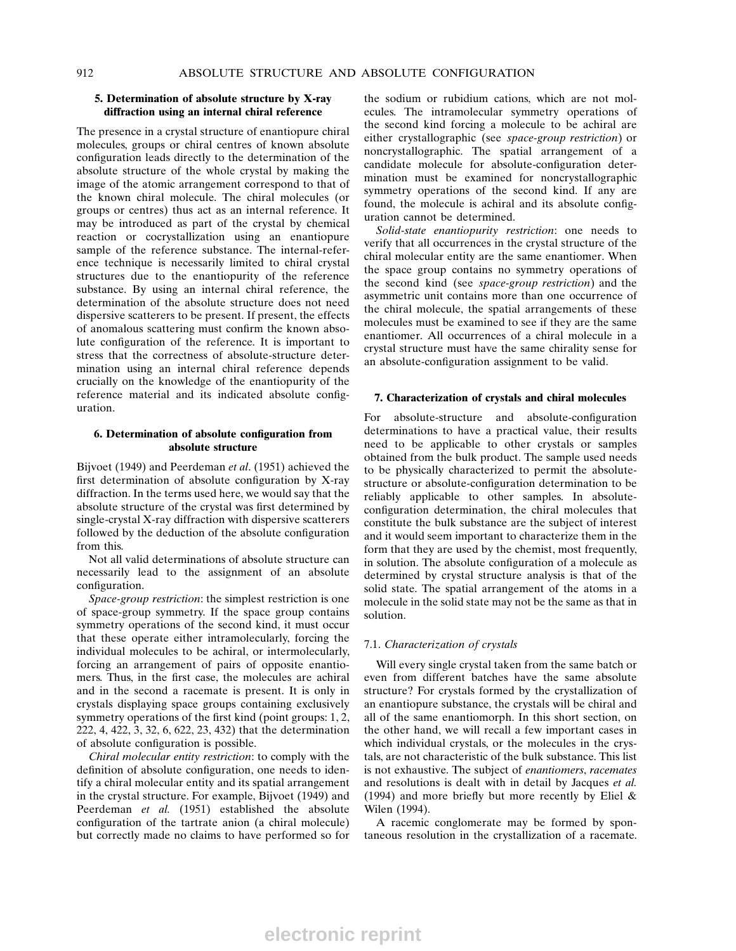## 5. Determination of absolute structure by X-ray diffraction using an internal chiral reference

The presence in a crystal structure of enantiopure chiral molecules, groups or chiral centres of known absolute configuration leads directly to the determination of the absolute structure of the whole crystal by making the image of the atomic arrangement correspond to that of the known chiral molecule. The chiral molecules (or groups or centres) thus act as an internal reference. It may be introduced as part of the crystal by chemical reaction or cocrystallization using an enantiopure sample of the reference substance. The internal-reference technique is necessarily limited to chiral crystal structures due to the enantiopurity of the reference substance. By using an internal chiral reference, the determination of the absolute structure does not need dispersive scatterers to be present. If present, the effects of anomalous scattering must confirm the known absolute configuration of the reference. It is important to stress that the correctness of absolute-structure determination using an internal chiral reference depends crucially on the knowledge of the enantiopurity of the reference material and its indicated absolute configuration.

## 6. Determination of absolute configuration from absolute structure

Bijvoet (1949) and Peerdeman et al. (1951) achieved the first determination of absolute configuration by  $X$ -ray diffraction. In the terms used here, we would say that the absolute structure of the crystal was first determined by single-crystal X-ray diffraction with dispersive scatterers followed by the deduction of the absolute configuration from this.

Not all valid determinations of absolute structure can necessarily lead to the assignment of an absolute configuration.

Space-group restriction: the simplest restriction is one of space-group symmetry. If the space group contains symmetry operations of the second kind, it must occur that these operate either intramolecularly, forcing the individual molecules to be achiral, or intermolecularly, forcing an arrangement of pairs of opposite enantiomers. Thus, in the first case, the molecules are achiral and in the second a racemate is present. It is only in crystals displaying space groups containing exclusively symmetry operations of the first kind (point groups: 1, 2, 222, 4, 422, 3, 32, 6, 622, 23, 432) that the determination of absolute configuration is possible.

Chiral molecular entity restriction: to comply with the definition of absolute configuration, one needs to identify a chiral molecular entity and its spatial arrangement in the crystal structure. For example, Bijvoet (1949) and Peerdeman et al. (1951) established the absolute configuration of the tartrate anion (a chiral molecule) but correctly made no claims to have performed so for

the sodium or rubidium cations, which are not molecules. The intramolecular symmetry operations of the second kind forcing a molecule to be achiral are either crystallographic (see space-group restriction) or noncrystallographic. The spatial arrangement of a candidate molecule for absolute-configuration determination must be examined for noncrystallographic symmetry operations of the second kind. If any are found, the molecule is achiral and its absolute configuration cannot be determined.

Solid-state enantiopurity restriction: one needs to verify that all occurrences in the crystal structure of the chiral molecular entity are the same enantiomer. When the space group contains no symmetry operations of the second kind (see space-group restriction) and the asymmetric unit contains more than one occurrence of the chiral molecule, the spatial arrangements of these molecules must be examined to see if they are the same enantiomer. All occurrences of a chiral molecule in a crystal structure must have the same chirality sense for an absolute-configuration assignment to be valid.

## 7. Characterization of crystals and chiral molecules

For absolute-structure and absolute-configuration determinations to have a practical value, their results need to be applicable to other crystals or samples obtained from the bulk product. The sample used needs to be physically characterized to permit the absolutestructure or absolute-configuration determination to be reliably applicable to other samples. In absoluteconfiguration determination, the chiral molecules that constitute the bulk substance are the subject of interest and it would seem important to characterize them in the form that they are used by the chemist, most frequently, in solution. The absolute configuration of a molecule as determined by crystal structure analysis is that of the solid state. The spatial arrangement of the atoms in a molecule in the solid state may not be the same as that in solution.

#### 7.1. Characterization of crystals

Will every single crystal taken from the same batch or even from different batches have the same absolute structure? For crystals formed by the crystallization of an enantiopure substance, the crystals will be chiral and all of the same enantiomorph. In this short section, on the other hand, we will recall a few important cases in which individual crystals, or the molecules in the crystals, are not characteristic of the bulk substance. This list is not exhaustive. The subject of enantiomers, racemates and resolutions is dealt with in detail by Jacques et al. (1994) and more briefly but more recently by Eliel  $\&$ Wilen (1994).

A racemic conglomerate may be formed by spontaneous resolution in the crystallization of a racemate.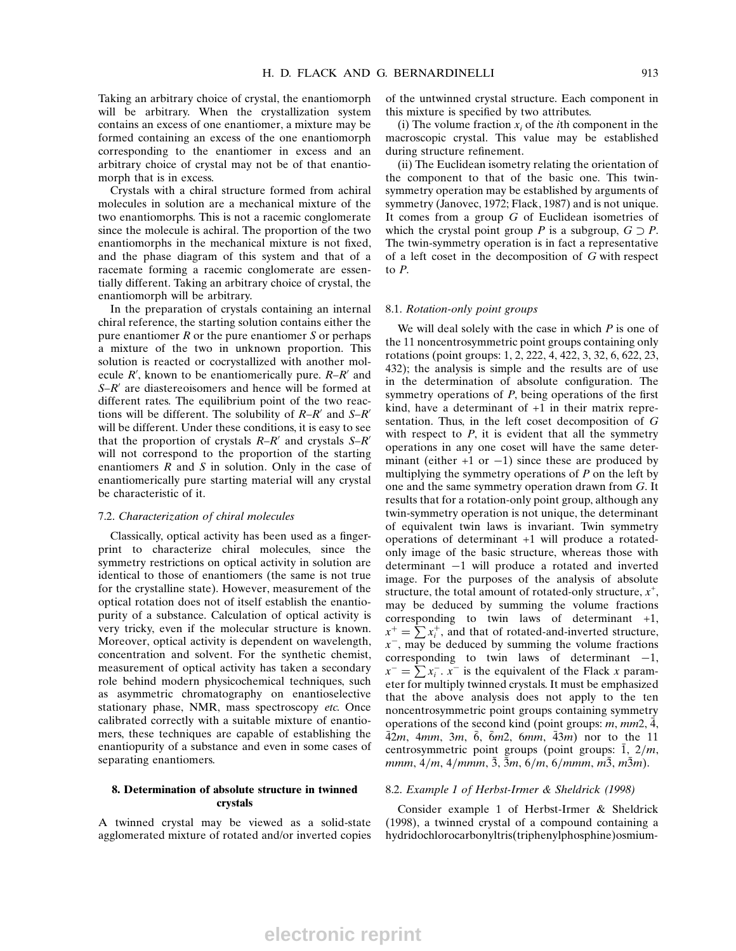Taking an arbitrary choice of crystal, the enantiomorph will be arbitrary. When the crystallization system contains an excess of one enantiomer, a mixture may be formed containing an excess of the one enantiomorph corresponding to the enantiomer in excess and an arbitrary choice of crystal may not be of that enantiomorph that is in excess.

Crystals with a chiral structure formed from achiral molecules in solution are a mechanical mixture of the two enantiomorphs. This is not a racemic conglomerate since the molecule is achiral. The proportion of the two enantiomorphs in the mechanical mixture is not fixed, and the phase diagram of this system and that of a racemate forming a racemic conglomerate are essentially different. Taking an arbitrary choice of crystal, the enantiomorph will be arbitrary.

In the preparation of crystals containing an internal chiral reference, the starting solution contains either the pure enantiomer  $R$  or the pure enantiomer  $S$  or perhaps a mixture of the two in unknown proportion. This solution is reacted or cocrystallized with another molecule  $R'$ , known to be enantiomerically pure.  $R-R'$  and  $S-R'$  are diastereoisomers and hence will be formed at different rates. The equilibrium point of the two reactions will be different. The solubility of  $R-R'$  and  $S-R'$ will be different. Under these conditions, it is easy to see that the proportion of crystals  $R-R'$  and crystals  $S-R'$ will not correspond to the proportion of the starting enantiomers  $R$  and  $S$  in solution. Only in the case of enantiomerically pure starting material will any crystal be characteristic of it.

#### 7.2. Characterization of chiral molecules

Classically, optical activity has been used as a fingerprint to characterize chiral molecules, since the symmetry restrictions on optical activity in solution are identical to those of enantiomers (the same is not true for the crystalline state). However, measurement of the optical rotation does not of itself establish the enantiopurity of a substance. Calculation of optical activity is very tricky, even if the molecular structure is known. Moreover, optical activity is dependent on wavelength, concentration and solvent. For the synthetic chemist, measurement of optical activity has taken a secondary role behind modern physicochemical techniques, such as asymmetric chromatography on enantioselective stationary phase, NMR, mass spectroscopy etc. Once calibrated correctly with a suitable mixture of enantiomers, these techniques are capable of establishing the enantiopurity of a substance and even in some cases of separating enantiomers.

#### 8. Determination of absolute structure in twinned crystals

A twinned crystal may be viewed as a solid-state agglomerated mixture of rotated and/or inverted copies of the untwinned crystal structure. Each component in this mixture is specified by two attributes.

(i) The volume fraction  $x_i$  of the *i*th component in the macroscopic crystal. This value may be established during structure refinement.

(ii) The Euclidean isometry relating the orientation of the component to that of the basic one. This twinsymmetry operation may be established by arguments of symmetry (Janovec, 1972; Flack, 1987) and is not unique. It comes from a group G of Euclidean isometries of which the crystal point group P is a subgroup,  $G \supset P$ . The twin-symmetry operation is in fact a representative of a left coset in the decomposition of G with respect to P.

#### 8.1. Rotation-only point groups

We will deal solely with the case in which  $P$  is one of the 11 noncentrosymmetric point groups containing only rotations (point groups: 1, 2, 222, 4, 422, 3, 32, 6, 622, 23, 432); the analysis is simple and the results are of use in the determination of absolute configuration. The symmetry operations of  $P$ , being operations of the first kind, have a determinant of +1 in their matrix representation. Thus, in the left coset decomposition of G with respect to  $P$ , it is evident that all the symmetry operations in any one coset will have the same determinant (either  $+1$  or  $-1$ ) since these are produced by multiplying the symmetry operations of  $P$  on the left by one and the same symmetry operation drawn from G. It results that for a rotation-only point group, although any twin-symmetry operation is not unique, the determinant of equivalent twin laws is invariant. Twin symmetry operations of determinant +1 will produce a rotatedonly image of the basic structure, whereas those with determinant  $-1$  will produce a rotated and inverted image. For the purposes of the analysis of absolute structure, the total amount of rotated-only structure,  $x^+$ , may be deduced by summing the volume fractions corresponding to twin laws of determinant +1,  $x^+ = \sum_i x_i^+$ , and that of rotated-and-inverted structure,  $x^-,$  may be deduced by summing the volume fractions corresponding to twin laws of determinant  $-1$ ,  $x^- = \sum x_i^- \cdot x^+$  is the equivalent of the Flack x parameter for multiply twinned crystals. It must be emphasized that the above analysis does not apply to the ten noncentrosymmetric point groups containing symmetry operations of the second kind (point groups:  $m$ ,  $mm2$ , 4,  $\bar{4}2m$ , 4mm, 3m,  $\bar{6}$ ,  $\bar{6}m2$ , 6mm,  $\bar{4}3m$ ) nor to the 11 centrosymmetric point groups (point groups:  $\overline{1}$ ,  $2/m$ , mmm,  $4/m$ ,  $4/mmm$ ,  $3, 3m$ ,  $6/m$ ,  $6/mmm$ ,  $m3, m3m$ ).

#### 8.2. Example 1 of Herbst-Irmer & Sheldrick (1998)

Consider example 1 of Herbst-Irmer & Sheldrick (1998), a twinned crystal of a compound containing a hydridochlorocarbonyltris(triphenylphosphine)osmium-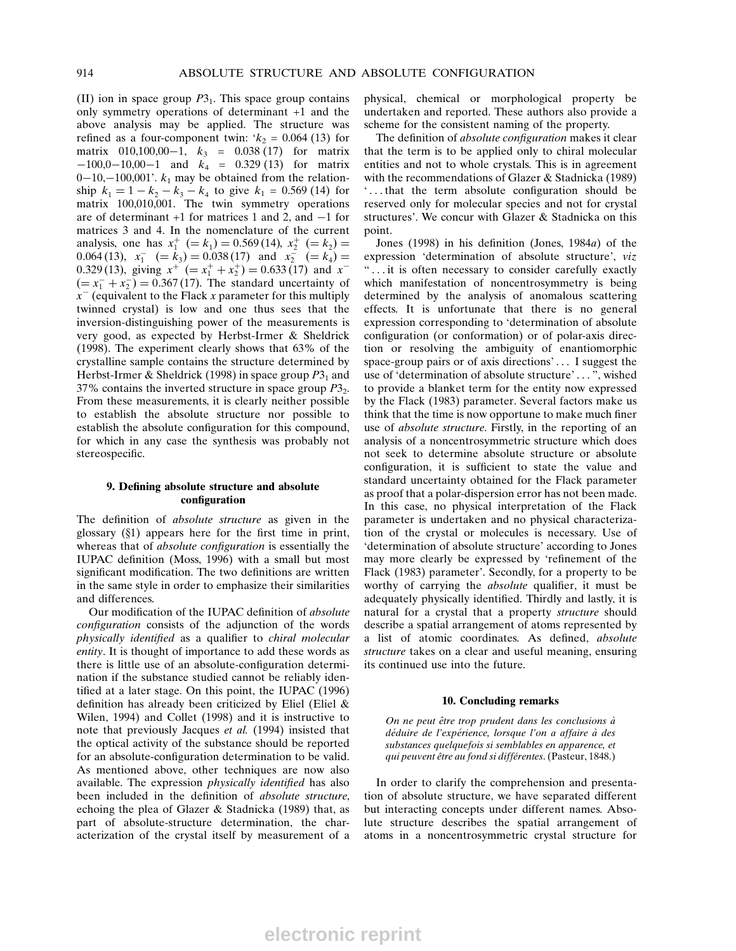(II) ion in space group  $P3<sub>1</sub>$ . This space group contains only symmetry operations of determinant +1 and the above analysis may be applied. The structure was refined as a four-component twin:  $k_2 = 0.064$  (13) for matrix  $010,100,00-1$ ,  $k_3 = 0.038$  (17) for matrix  $-100,0-10,00-1$  and  $k_4 = 0.329$  (13) for matrix  $0-10, -100, 001'$ .  $k_1$  may be obtained from the relationship  $k_1 = 1 - k_2 - k_3 - k_4$  to give  $k_1 = 0.569$  (14) for matrix 100,010,001. The twin symmetry operations are of determinant  $+1$  for matrices 1 and 2, and  $-1$  for matrices 3 and 4. In the nomenclature of the current analysis, one has  $x_1^+ (= k_1) = 0.569(14), x_2^+ (= k_2) = 0.669(14)$ 0.064 (13),  $x_1^- (= k_3) = 0.038(17)$  and  $x_2^- (= k_4) = 0.038(17)$ 0.329 (13), giving  $x^+$  (=  $x_1^+ + x_2^+$ ) = 0.633 (17) and  $x^ (= x_1^- + x_2^-) = 0.367 (17)$ . The standard uncertainty of  $x<sup>-</sup>$  (equivalent to the Flack x parameter for this multiply twinned crystal) is low and one thus sees that the inversion-distinguishing power of the measurements is very good, as expected by Herbst-Irmer & Sheldrick (1998). The experiment clearly shows that 63% of the crystalline sample contains the structure determined by Herbst-Irmer & Sheldrick (1998) in space group  $P3<sub>1</sub>$  and 37% contains the inverted structure in space group  $P3<sub>2</sub>$ . From these measurements, it is clearly neither possible to establish the absolute structure nor possible to establish the absolute configuration for this compound, for which in any case the synthesis was probably not stereospecific.

#### 9. Defining absolute structure and absolute configuration

The definition of *absolute structure* as given in the glossary  $(\S1)$  appears here for the first time in print, whereas that of *absolute configuration* is essentially the IUPAC definition (Moss, 1996) with a small but most significant modification. The two definitions are written in the same style in order to emphasize their similarities and differences.

Our modification of the IUPAC definition of *absolute* configuration consists of the adjunction of the words physically identified as a qualifier to chiral molecular entity. It is thought of importance to add these words as there is little use of an absolute-configuration determination if the substance studied cannot be reliably identified at a later stage. On this point, the IUPAC  $(1996)$ definition has already been criticized by Eliel (Eliel  $\&$ Wilen, 1994) and Collet (1998) and it is instructive to note that previously Jacques et al. (1994) insisted that the optical activity of the substance should be reported for an absolute-configuration determination to be valid. As mentioned above, other techniques are now also available. The expression *physically identified* has also been included in the definition of *absolute structure*, echoing the plea of Glazer & Stadnicka (1989) that, as part of absolute-structure determination, the characterization of the crystal itself by measurement of a physical, chemical or morphological property be undertaken and reported. These authors also provide a scheme for the consistent naming of the property.

The definition of absolute configuration makes it clear that the term is to be applied only to chiral molecular entities and not to whole crystals. This is in agreement with the recommendations of Glazer & Stadnicka (1989) `...that the term absolute configuration should be reserved only for molecular species and not for crystal structures'. We concur with Glazer & Stadnicka on this point.

Jones (1998) in his definition (Jones,  $1984a$ ) of the expression 'determination of absolute structure', viz ª ... it is often necessary to consider carefully exactly which manifestation of noncentrosymmetry is being determined by the analysis of anomalous scattering effects. It is unfortunate that there is no general expression corresponding to `determination of absolute configuration (or conformation) or of polar-axis direction or resolving the ambiguity of enantiomorphic space-group pairs or of axis directions' ... I suggest the use of 'determination of absolute structure' ... ", wished to provide a blanket term for the entity now expressed by the Flack (1983) parameter. Several factors make us think that the time is now opportune to make much finer use of absolute structure. Firstly, in the reporting of an analysis of a noncentrosymmetric structure which does not seek to determine absolute structure or absolute configuration, it is sufficient to state the value and standard uncertainty obtained for the Flack parameter as proof that a polar-dispersion error has not been made. In this case, no physical interpretation of the Flack parameter is undertaken and no physical characterization of the crystal or molecules is necessary. Use of `determination of absolute structure' according to Jones may more clearly be expressed by 'refinement of the Flack (1983) parameter'. Secondly, for a property to be worthy of carrying the *absolute* qualifier, it must be adequately physically identified. Thirdly and lastly, it is natural for a crystal that a property structure should describe a spatial arrangement of atoms represented by a list of atomic coordinates. As defined, absolute structure takes on a clear and useful meaning, ensuring its continued use into the future.

#### 10. Concluding remarks

On ne peut être trop prudent dans les conclusions à déduire de l'expérience, lorsque l'on a affaire à des substances quelquefois si semblables en apparence, et qui peuvent être au fond si différentes. (Pasteur, 1848.)

In order to clarify the comprehension and presentation of absolute structure, we have separated different but interacting concepts under different names. Absolute structure describes the spatial arrangement of atoms in a noncentrosymmetric crystal structure for